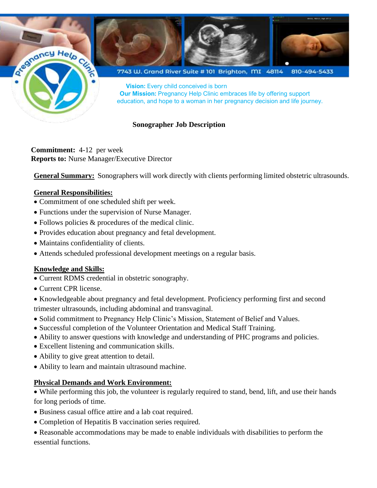

**Commitment:** 4-12 per week **Reports to:** Nurse Manager/Executive Director

**General Summary:** Sonographers will work directly with clients performing limited obstetric ultrasounds.

## **General Responsibilities:**

- Commitment of one scheduled shift per week.
- Functions under the supervision of Nurse Manager.
- Follows policies & procedures of the medical clinic.
- Provides education about pregnancy and fetal development.
- Maintains confidentiality of clients.
- Attends scheduled professional development meetings on a regular basis.

## **Knowledge and Skills:**

- Current RDMS credential in obstetric sonography.
- Current CPR license.

• Knowledgeable about pregnancy and fetal development. Proficiency performing first and second trimester ultrasounds, including abdominal and transvaginal.

- Solid commitment to Pregnancy Help Clinic's Mission, Statement of Belief and Values.
- Successful completion of the Volunteer Orientation and Medical Staff Training.
- Ability to answer questions with knowledge and understanding of PHC programs and policies.
- Excellent listening and communication skills.
- Ability to give great attention to detail.
- Ability to learn and maintain ultrasound machine.

## **Physical Demands and Work Environment:**

• While performing this job, the volunteer is regularly required to stand, bend, lift, and use their hands for long periods of time.

- Business casual office attire and a lab coat required.
- Completion of Hepatitis B vaccination series required.

• Reasonable accommodations may be made to enable individuals with disabilities to perform the essential functions.